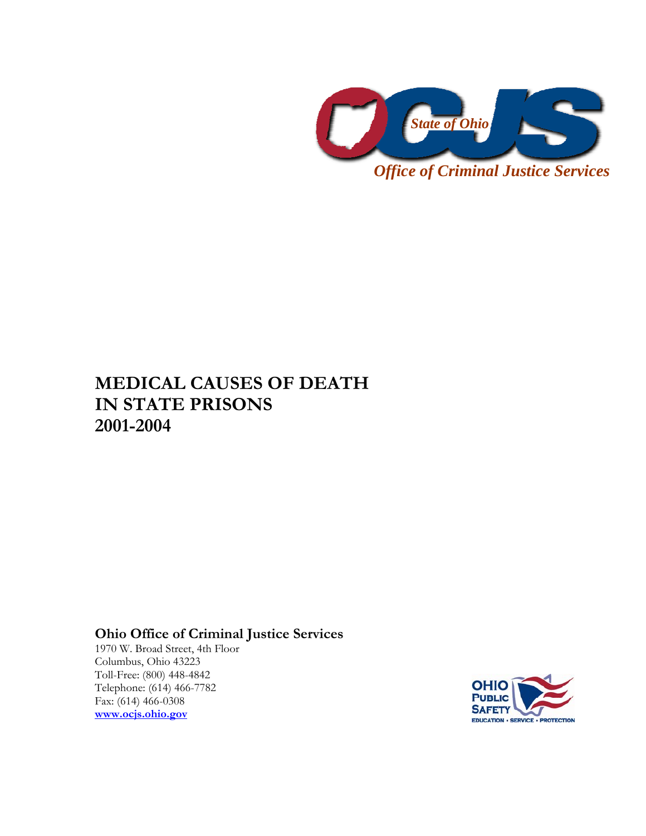

**MEDICAL CAUSES OF DEATH IN STATE PRISONS 2001-2004** 

**Ohio Office of Criminal Justice Services** 

1970 W. Broad Street, 4th Floor Columbus, Ohio 43223 Toll-Free: (800) 448-4842 Telephone: (614) 466-7782 Fax: (614) 466-0308 **www.ocjs.ohio.gov**

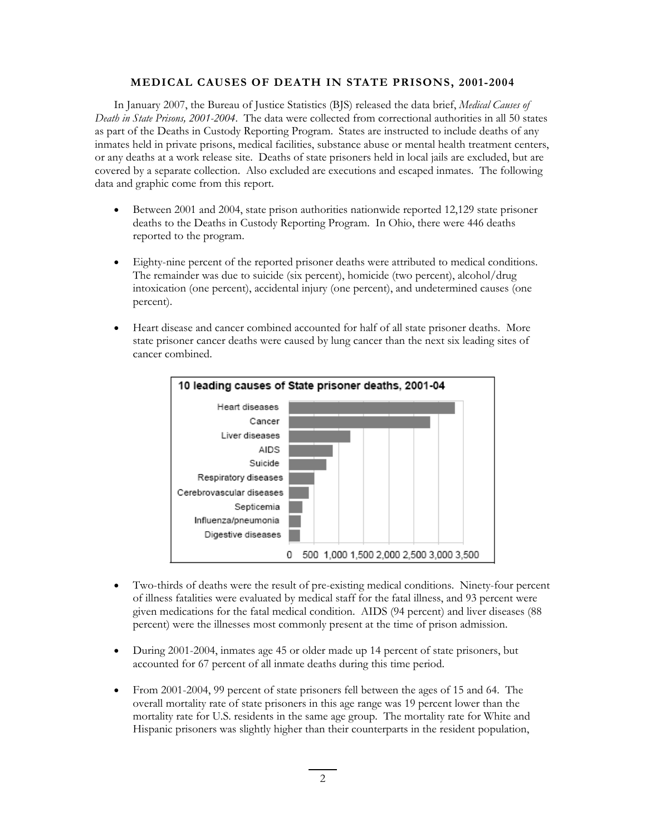## **MEDICAL CAUSES OF DEATH IN STATE PRISONS, 2001-2004**

In January 2007, the Bureau of Justice Statistics (BJS) released the data brief, *Medical Causes of Death in State Prisons, 2001-2004*. The data were collected from correctional authorities in all 50 states as part of the Deaths in Custody Reporting Program. States are instructed to include deaths of any inmates held in private prisons, medical facilities, substance abuse or mental health treatment centers, or any deaths at a work release site. Deaths of state prisoners held in local jails are excluded, but are covered by a separate collection. Also excluded are executions and escaped inmates. The following data and graphic come from this report.

- Between 2001 and 2004, state prison authorities nationwide reported 12,129 state prisoner deaths to the Deaths in Custody Reporting Program. In Ohio, there were 446 deaths reported to the program.
- Eighty-nine percent of the reported prisoner deaths were attributed to medical conditions. The remainder was due to suicide (six percent), homicide (two percent), alcohol/drug intoxication (one percent), accidental injury (one percent), and undetermined causes (one percent).
- Heart disease and cancer combined accounted for half of all state prisoner deaths. More state prisoner cancer deaths were caused by lung cancer than the next six leading sites of cancer combined.



- Two-thirds of deaths were the result of pre-existing medical conditions. Ninety-four percent of illness fatalities were evaluated by medical staff for the fatal illness, and 93 percent were given medications for the fatal medical condition. AIDS (94 percent) and liver diseases (88 percent) were the illnesses most commonly present at the time of prison admission.
- During 2001-2004, inmates age 45 or older made up 14 percent of state prisoners, but accounted for 67 percent of all inmate deaths during this time period.
- From 2001-2004, 99 percent of state prisoners fell between the ages of 15 and 64. The overall mortality rate of state prisoners in this age range was 19 percent lower than the mortality rate for U.S. residents in the same age group. The mortality rate for White and Hispanic prisoners was slightly higher than their counterparts in the resident population,